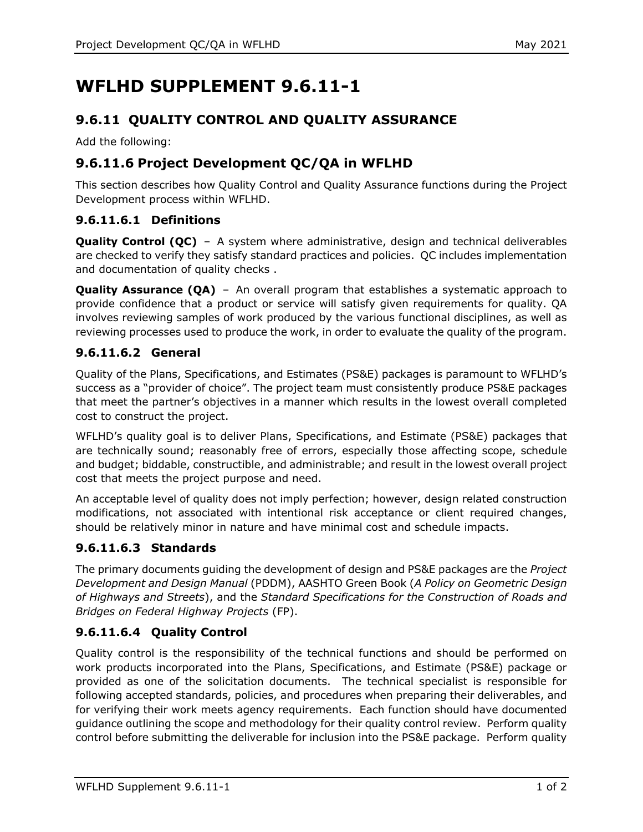# **WFLHD SUPPLEMENT 9.6.11-1**

# **9.6.11 QUALITY CONTROL AND QUALITY ASSURANCE**

Add the following:

## **9.6.11.6 Project Development QC/QA in WFLHD**

This section describes how Quality Control and Quality Assurance functions during the Project Development process within WFLHD.

#### **9.6.11.6.1 Definitions**

**Quality Control (QC)** – A system where administrative, design and technical deliverables are checked to verify they satisfy standard practices and policies. QC includes implementation and documentation of quality checks .

**Quality Assurance (QA)** – An overall program that establishes a systematic approach to provide confidence that a product or service will satisfy given requirements for quality. QA involves reviewing samples of work produced by the various functional disciplines, as well as reviewing processes used to produce the work, in order to evaluate the quality of the program.

## **9.6.11.6.2 General**

Quality of the Plans, Specifications, and Estimates (PS&E) packages is paramount to WFLHD's success as a "provider of choice". The project team must consistently produce PS&E packages that meet the partner's objectives in a manner which results in the lowest overall completed cost to construct the project.

WFLHD's quality goal is to deliver Plans, Specifications, and Estimate (PS&E) packages that are technically sound; reasonably free of errors, especially those affecting scope, schedule and budget; biddable, constructible, and administrable; and result in the lowest overall project cost that meets the project purpose and need.

An acceptable level of quality does not imply perfection; however, design related construction modifications, not associated with intentional risk acceptance or client required changes, should be relatively minor in nature and have minimal cost and schedule impacts.

## **9.6.11.6.3 Standards**

The primary documents guiding the development of design and PS&E packages are the *Project Development and Design Manual* (PDDM), AASHTO Green Book (*A Policy on Geometric Design of Highways and Streets*), and the *Standard Specifications for the Construction of Roads and Bridges on Federal Highway Projects* (FP).

## **9.6.11.6.4 Quality Control**

Quality control is the responsibility of the technical functions and should be performed on work products incorporated into the Plans, Specifications, and Estimate (PS&E) package or provided as one of the solicitation documents. The technical specialist is responsible for following accepted standards, policies, and procedures when preparing their deliverables, and for verifying their work meets agency requirements. Each function should have documented guidance outlining the scope and methodology for their quality control review. Perform quality control before submitting the deliverable for inclusion into the PS&E package. Perform quality